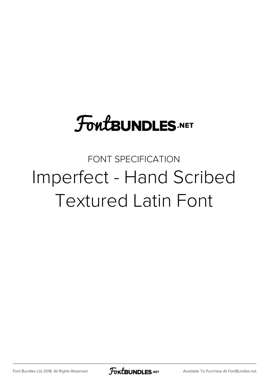# **FoutBUNDLES.NET**

FONT SPECIFICATION Imperfect - Hand Scribed Textured Latin Font

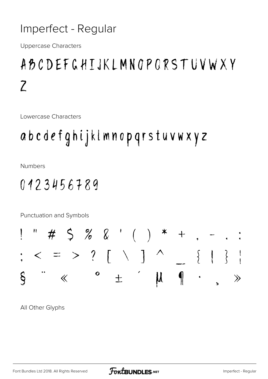#### Imperfect - Regular

**Uppercase Characters** 

### ABCDEFGHTJKLMNOPORSTUVWXY  $\overline{Z}$

Lowercase Characters

## abcdefghijklmnopqrstuvwxyz

**Numbers** 

#### 0123456789

Punctuation and Symbols



All Other Glyphs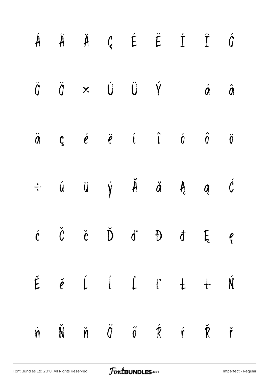|  |  |  | $\begin{array}{ccccccccccccccccc} \hat{A} & \hat{A} & \hat{A} & \hat{C} & \hat{E} & \hat{E} & \hat{C} & \hat{C} & \hat{C} \end{array}$                                                                                                                                                                                                 |  |
|--|--|--|----------------------------------------------------------------------------------------------------------------------------------------------------------------------------------------------------------------------------------------------------------------------------------------------------------------------------------------|--|
|  |  |  | $\hat{0} \qquad \ddot{0} \qquad \times \qquad \dot{U} \qquad \ddot{U} \qquad \dot{V} \qquad \qquad \dot{0} \qquad \hat{0}$                                                                                                                                                                                                             |  |
|  |  |  | $\ddot{a}$ $\zeta$ $\acute{e}$ $\ddot{e}$ $\ddot{e}$ $\acute{e}$ $\acute{e}$ $\acute{e}$ $\acute{e}$ $\acute{e}$ $\acute{e}$ $\acute{e}$ $\acute{e}$ $\acute{e}$ $\acute{e}$ $\acute{e}$ $\acute{e}$ $\acute{e}$ $\acute{e}$ $\acute{e}$ $\acute{e}$ $\acute{e}$ $\acute{e}$ $\acute{e}$ $\acute{e}$ $\acute{e}$ $\acute{e}$ $\acute{$ |  |
|  |  |  | $\div$ ú ü ý Ă ă Ą ą Ć                                                                                                                                                                                                                                                                                                                 |  |
|  |  |  | $\acute{c}$ $\check{c}$ $\acute{c}$ $\check{D}$ $\acute{d}$ $\theta$ $\acute{d}$ $\theta$                                                                                                                                                                                                                                              |  |
|  |  |  | $\check{E}$ $\check{e}$ $\acute{L}$ $\acute{L}$ $\acute{L}$ $\acute{L}$ $\ddot{+}$ $\acute{N}$                                                                                                                                                                                                                                         |  |
|  |  |  | $\acute{\textbf{n}}\qquad \acute{\textbf{N}}\qquad \acute{\textbf{n}}\qquad \acute{\textbf{0}}\qquad \acute{\textbf{0}}\qquad \acute{\textbf{0}}\qquad \acute{\textbf{R}}\qquad \acute{\textbf{r}}\qquad \acute{\textbf{R}}\qquad \acute{\textbf{r}}$                                                                                  |  |